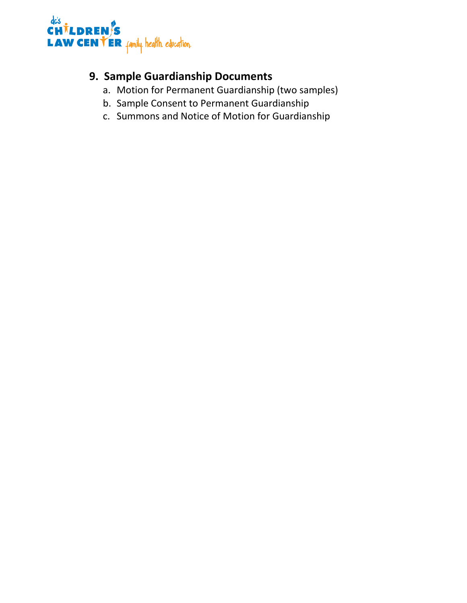

## **9. Sample Guardianship Documents**

- a. Motion for Permanent Guardianship (two samples)
- b. Sample Consent to Permanent Guardianship
- c. Summons and Notice of Motion for Guardianship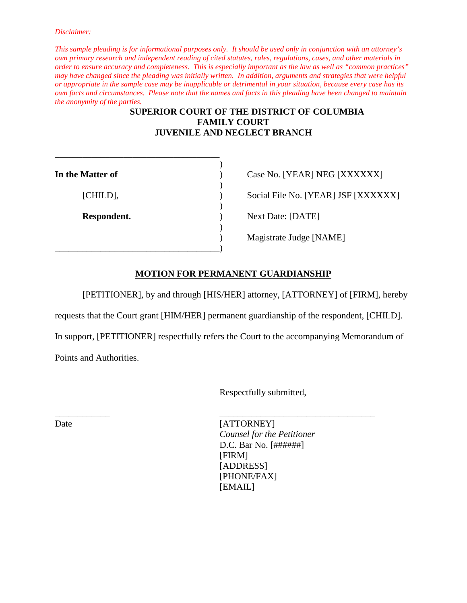*This sample pleading is for informational purposes only. It should be used only in conjunction with an attorney's own primary research and independent reading of cited statutes, rules, regulations, cases, and other materials in order to ensure accuracy and completeness. This is especially important as the law as well as "common practices" may have changed since the pleading was initially written. In addition, arguments and strategies that were helpful or appropriate in the sample case may be inapplicable or detrimental in your situation, because every case has its own facts and circumstances. Please note that the names and facts in this pleading have been changed to maintain the anonymity of the parties.*

### **SUPERIOR COURT OF THE DISTRICT OF COLUMBIA FAMILY COURT JUVENILE AND NEGLECT BRANCH**

| In the Matter of | Case No. [YEAR] NEG [XXXXXX]      |
|------------------|-----------------------------------|
| [CHILD],         | Social File No. [YEAR] JSF [XXXX] |
| Respondent.      | Next Date: [DATE]                 |
|                  | Magistrate Judge [NAME]           |

**\_\_\_\_\_\_\_\_\_\_\_\_\_\_\_\_\_\_\_\_\_\_\_\_\_\_\_\_\_\_\_\_\_\_\_\_**

Social File No. [YEAR] JSF [XXXXXX]

### **MOTION FOR PERMANENT GUARDIANSHIP**

[PETITIONER], by and through [HIS/HER] attorney, [ATTORNEY] of [FIRM], hereby

requests that the Court grant [HIM/HER] permanent guardianship of the respondent, [CHILD].

In support, [PETITIONER] respectfully refers the Court to the accompanying Memorandum of

\_\_\_\_\_\_\_\_\_\_\_\_ \_\_\_\_\_\_\_\_\_\_\_\_\_\_\_\_\_\_\_\_\_\_\_\_\_\_\_\_\_\_\_\_\_\_

Points and Authorities.

Respectfully submitted,

Date [ATTORNEY] *Counsel for the Petitioner* D.C. Bar No. [######] [FIRM] [ADDRESS] [PHONE/FAX] [EMAIL]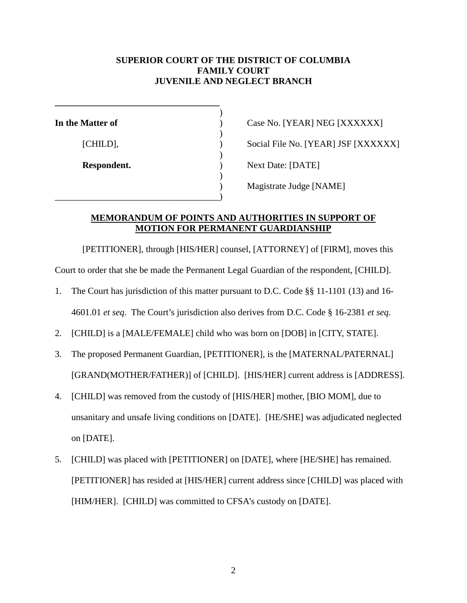### **SUPERIOR COURT OF THE DISTRICT OF COLUMBIA FAMILY COURT JUVENILE AND NEGLECT BRANCH**

| In the Matter of | Case No. [YEAR] NEG [XXXXXX]      |
|------------------|-----------------------------------|
|                  |                                   |
| [CHILD],         | Social File No. [YEAR] JSF [XXXX] |
|                  |                                   |
| Respondent.      | Next Date: [DATE]                 |
|                  |                                   |
|                  | Magistrate Judge [NAME]           |
|                  |                                   |

Social File No. [YEAR] JSF [XXXXXX] **Next Date: [DATE]** ) Magistrate Judge [NAME]

### **MEMORANDUM OF POINTS AND AUTHORITIES IN SUPPORT OF MOTION FOR PERMANENT GUARDIANSHIP**

[PETITIONER], through [HIS/HER] counsel, [ATTORNEY] of [FIRM], moves this

Court to order that she be made the Permanent Legal Guardian of the respondent, [CHILD].

- 1. The Court has jurisdiction of this matter pursuant to D.C. Code §§ 11-1101 (13) and 16- 4601.01 *et seq*. The Court's jurisdiction also derives from D.C. Code § 16-2381 *et seq*.
- 2. [CHILD] is a [MALE/FEMALE] child who was born on [DOB] in [CITY, STATE].
- 3. The proposed Permanent Guardian, [PETITIONER], is the [MATERNAL/PATERNAL] [GRAND(MOTHER/FATHER)] of [CHILD]. [HIS/HER] current address is [ADDRESS].
- 4. [CHILD] was removed from the custody of [HIS/HER] mother, [BIO MOM], due to unsanitary and unsafe living conditions on [DATE]. [HE/SHE] was adjudicated neglected on [DATE].
- 5. [CHILD] was placed with [PETITIONER] on [DATE], where [HE/SHE] has remained. [PETITIONER] has resided at [HIS/HER] current address since [CHILD] was placed with [HIM/HER]. [CHILD] was committed to CFSA's custody on [DATE].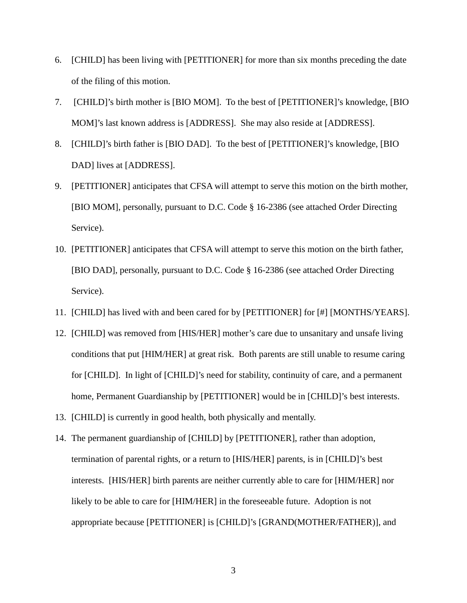- 6. [CHILD] has been living with [PETITIONER] for more than six months preceding the date of the filing of this motion.
- 7. [CHILD]'s birth mother is [BIO MOM]. To the best of [PETITIONER]'s knowledge, [BIO MOM]'s last known address is [ADDRESS]. She may also reside at [ADDRESS].
- 8. [CHILD]'s birth father is [BIO DAD]. To the best of [PETITIONER]'s knowledge, [BIO DAD] lives at [ADDRESS].
- 9. [PETITIONER] anticipates that CFSA will attempt to serve this motion on the birth mother, [BIO MOM], personally, pursuant to D.C. Code § 16-2386 (see attached Order Directing Service).
- 10. [PETITIONER] anticipates that CFSA will attempt to serve this motion on the birth father, [BIO DAD], personally, pursuant to D.C. Code § 16-2386 (see attached Order Directing Service).
- 11. [CHILD] has lived with and been cared for by [PETITIONER] for [#] [MONTHS/YEARS].
- 12. [CHILD] was removed from [HIS/HER] mother's care due to unsanitary and unsafe living conditions that put [HIM/HER] at great risk. Both parents are still unable to resume caring for [CHILD]. In light of [CHILD]'s need for stability, continuity of care, and a permanent home, Permanent Guardianship by [PETITIONER] would be in [CHILD]'s best interests.
- 13. [CHILD] is currently in good health, both physically and mentally.
- 14. The permanent guardianship of [CHILD] by [PETITIONER], rather than adoption, termination of parental rights, or a return to [HIS/HER] parents, is in [CHILD]'s best interests. [HIS/HER] birth parents are neither currently able to care for [HIM/HER] nor likely to be able to care for [HIM/HER] in the foreseeable future. Adoption is not appropriate because [PETITIONER] is [CHILD]'s [GRAND(MOTHER/FATHER)], and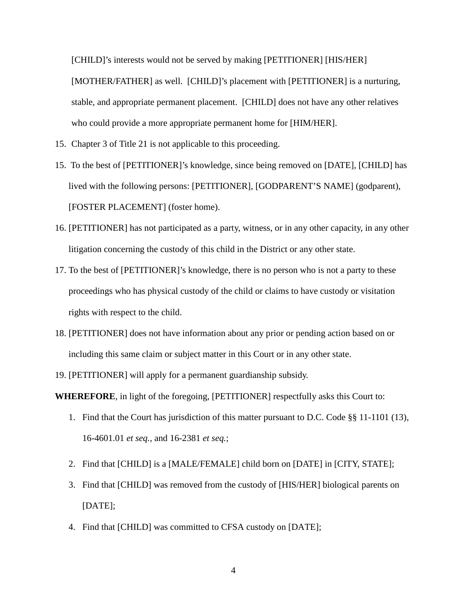[CHILD]'s interests would not be served by making [PETITIONER] [HIS/HER] [MOTHER/FATHER] as well. [CHILD]'s placement with [PETITIONER] is a nurturing, stable, and appropriate permanent placement. [CHILD] does not have any other relatives who could provide a more appropriate permanent home for [HIM/HER].

- 15. Chapter 3 of Title 21 is not applicable to this proceeding.
- 15. To the best of [PETITIONER]'s knowledge, since being removed on [DATE], [CHILD] has lived with the following persons: [PETITIONER], [GODPARENT'S NAME] (godparent), [FOSTER PLACEMENT] (foster home).
- 16. [PETITIONER] has not participated as a party, witness, or in any other capacity, in any other litigation concerning the custody of this child in the District or any other state.
- 17. To the best of [PETITIONER]'s knowledge, there is no person who is not a party to these proceedings who has physical custody of the child or claims to have custody or visitation rights with respect to the child.
- 18. [PETITIONER] does not have information about any prior or pending action based on or including this same claim or subject matter in this Court or in any other state.
- 19. [PETITIONER] will apply for a permanent guardianship subsidy.

**WHEREFORE**, in light of the foregoing, [PETITIONER] respectfully asks this Court to:

- 1. Find that the Court has jurisdiction of this matter pursuant to D.C. Code §§ 11-1101 (13), 16-4601.01 *et seq.*, and 16-2381 *et seq.*;
- 2. Find that [CHILD] is a [MALE/FEMALE] child born on [DATE] in [CITY, STATE];
- 3. Find that [CHILD] was removed from the custody of [HIS/HER] biological parents on [DATE];
- 4. Find that [CHILD] was committed to CFSA custody on [DATE];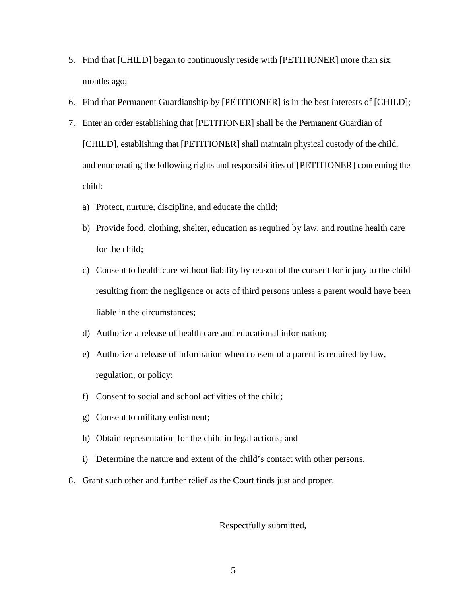- 5. Find that [CHILD] began to continuously reside with [PETITIONER] more than six months ago;
- 6. Find that Permanent Guardianship by [PETITIONER] is in the best interests of [CHILD];
- 7. Enter an order establishing that [PETITIONER] shall be the Permanent Guardian of [CHILD], establishing that [PETITIONER] shall maintain physical custody of the child, and enumerating the following rights and responsibilities of [PETITIONER] concerning the child:
	- a) Protect, nurture, discipline, and educate the child;
	- b) Provide food, clothing, shelter, education as required by law, and routine health care for the child;
	- c) Consent to health care without liability by reason of the consent for injury to the child resulting from the negligence or acts of third persons unless a parent would have been liable in the circumstances;
	- d) Authorize a release of health care and educational information;
	- e) Authorize a release of information when consent of a parent is required by law, regulation, or policy;
	- f) Consent to social and school activities of the child;
	- g) Consent to military enlistment;
	- h) Obtain representation for the child in legal actions; and
	- i) Determine the nature and extent of the child's contact with other persons.
- 8. Grant such other and further relief as the Court finds just and proper.

### Respectfully submitted,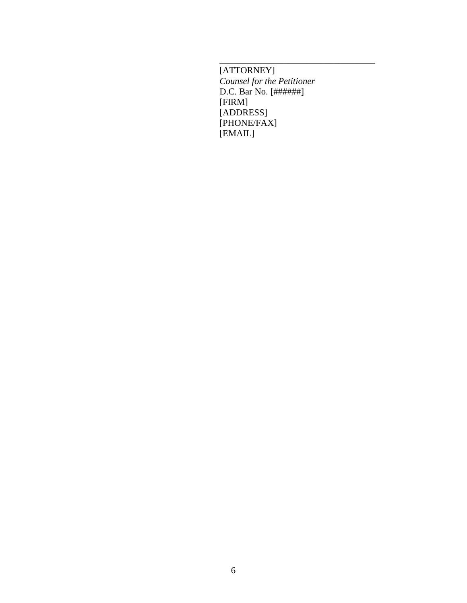[ATTORNEY] *Counsel for the Petitioner* D.C. Bar No. [######] [FIRM] [ADDRESS] [PHONE/FAX] [EMAIL]

\_\_\_\_\_\_\_\_\_\_\_\_\_\_\_\_\_\_\_\_\_\_\_\_\_\_\_\_\_\_\_\_\_\_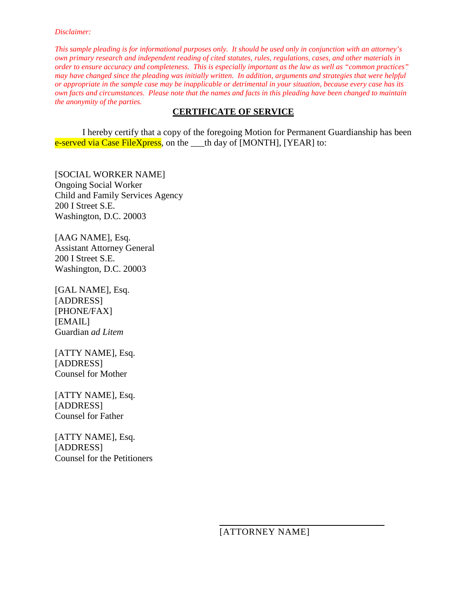*This sample pleading is for informational purposes only. It should be used only in conjunction with an attorney's own primary research and independent reading of cited statutes, rules, regulations, cases, and other materials in order to ensure accuracy and completeness. This is especially important as the law as well as "common practices" may have changed since the pleading was initially written. In addition, arguments and strategies that were helpful or appropriate in the sample case may be inapplicable or detrimental in your situation, because every case has its own facts and circumstances. Please note that the names and facts in this pleading have been changed to maintain the anonymity of the parties.*

### **CERTIFICATE OF SERVICE**

I hereby certify that a copy of the foregoing Motion for Permanent Guardianship has been e-served via Case FileXpress, on the \_\_\_th day of [MONTH], [YEAR] to:

[SOCIAL WORKER NAME] Ongoing Social Worker Child and Family Services Agency 200 I Street S.E. Washington, D.C. 20003

[AAG NAME], Esq. Assistant Attorney General 200 I Street S.E. Washington, D.C. 20003

[GAL NAME], Esq. [ADDRESS] [PHONE/FAX] [EMAIL] Guardian *ad Litem*

[ATTY NAME], Esq. [ADDRESS] Counsel for Mother

[ATTY NAME], Esq. [ADDRESS] Counsel for Father

[ATTY NAME], Esq. [ADDRESS] Counsel for the Petitioners

[ATTORNEY NAME]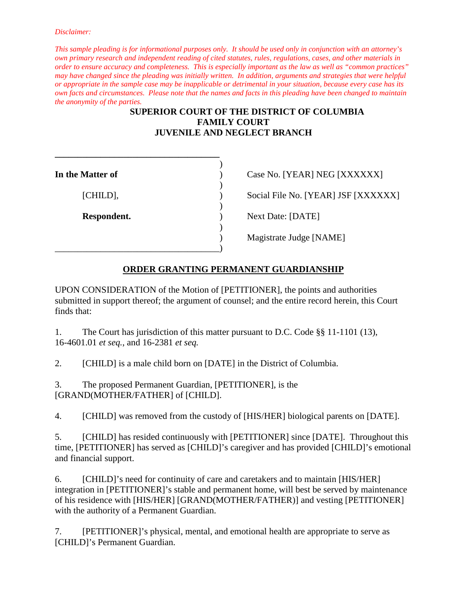*This sample pleading is for informational purposes only. It should be used only in conjunction with an attorney's own primary research and independent reading of cited statutes, rules, regulations, cases, and other materials in order to ensure accuracy and completeness. This is especially important as the law as well as "common practices" may have changed since the pleading was initially written. In addition, arguments and strategies that were helpful or appropriate in the sample case may be inapplicable or detrimental in your situation, because every case has its own facts and circumstances. Please note that the names and facts in this pleading have been changed to maintain the anonymity of the parties.*

### **SUPERIOR COURT OF THE DISTRICT OF COLUMBIA FAMILY COURT JUVENILE AND NEGLECT BRANCH**

| In the Matter of | Case No. [YEAR] NEG [XXXXXX]      |
|------------------|-----------------------------------|
| [CHILD],         | Social File No. [YEAR] JSF [XXXX] |
| Respondent.      | Next Date: [DATE]                 |
|                  | Magistrate Judge [NAME]           |
|                  |                                   |

**\_\_\_\_\_\_\_\_\_\_\_\_\_\_\_\_\_\_\_\_\_\_\_\_\_\_\_\_\_\_\_\_\_\_\_\_**

) Social File No. [YEAR] JSF [XXXXXX]

### **ORDER GRANTING PERMANENT GUARDIANSHIP**

UPON CONSIDERATION of the Motion of [PETITIONER], the points and authorities submitted in support thereof; the argument of counsel; and the entire record herein, this Court finds that:

1. The Court has jurisdiction of this matter pursuant to D.C. Code §§ 11-1101 (13), 16-4601.01 *et seq.*, and 16-2381 *et seq.*

2. [CHILD] is a male child born on [DATE] in the District of Columbia.

3. The proposed Permanent Guardian, [PETITIONER], is the [GRAND(MOTHER/FATHER] of [CHILD].

4. [CHILD] was removed from the custody of [HIS/HER] biological parents on [DATE].

5. [CHILD] has resided continuously with [PETITIONER] since [DATE]. Throughout this time, [PETITIONER] has served as [CHILD]'s caregiver and has provided [CHILD]'s emotional and financial support.

6. [CHILD]'s need for continuity of care and caretakers and to maintain [HIS/HER] integration in [PETITIONER]'s stable and permanent home, will best be served by maintenance of his residence with [HIS/HER] [GRAND(MOTHER/FATHER)] and vesting [PETITIONER] with the authority of a Permanent Guardian.

7. [PETITIONER]'s physical, mental, and emotional health are appropriate to serve as [CHILD]'s Permanent Guardian.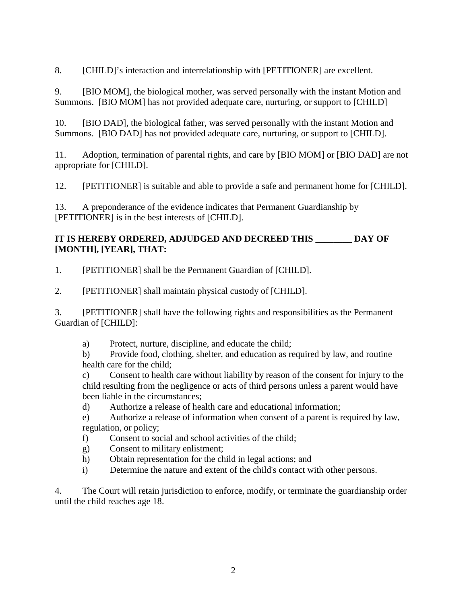8. [CHILD]'s interaction and interrelationship with [PETITIONER] are excellent.

9. [BIO MOM], the biological mother, was served personally with the instant Motion and Summons. [BIO MOM] has not provided adequate care, nurturing, or support to [CHILD]

10. [BIO DAD], the biological father, was served personally with the instant Motion and Summons. [BIO DAD] has not provided adequate care, nurturing, or support to [CHILD].

11. Adoption, termination of parental rights, and care by [BIO MOM] or [BIO DAD] are not appropriate for [CHILD].

12. [PETITIONER] is suitable and able to provide a safe and permanent home for [CHILD].

13. A preponderance of the evidence indicates that Permanent Guardianship by [PETITIONER] is in the best interests of [CHILD].

### **IT IS HEREBY ORDERED, ADJUDGED AND DECREED THIS \_\_\_\_\_\_\_\_ DAY OF [MONTH], [YEAR], THAT:**

1. [PETITIONER] shall be the Permanent Guardian of [CHILD].

2. [PETITIONER] shall maintain physical custody of [CHILD].

3. [PETITIONER] shall have the following rights and responsibilities as the Permanent Guardian of [CHILD]:

a) Protect, nurture, discipline, and educate the child;

b) Provide food, clothing, shelter, and education as required by law, and routine health care for the child;

c) Consent to health care without liability by reason of the consent for injury to the child resulting from the negligence or acts of third persons unless a parent would have been liable in the circumstances;

d) Authorize a release of health care and educational information;

e) Authorize a release of information when consent of a parent is required by law, regulation, or policy;

- f) Consent to social and school activities of the child;
- g) Consent to military enlistment;
- h) Obtain representation for the child in legal actions; and
- i) Determine the nature and extent of the child's contact with other persons.

4. The Court will retain jurisdiction to enforce, modify, or terminate the guardianship order until the child reaches age 18.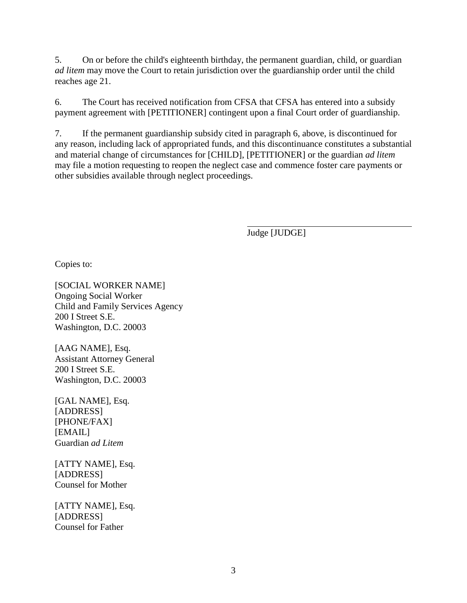5. On or before the child's eighteenth birthday, the permanent guardian, child, or guardian *ad litem* may move the Court to retain jurisdiction over the guardianship order until the child reaches age 21.

6. The Court has received notification from CFSA that CFSA has entered into a subsidy payment agreement with [PETITIONER] contingent upon a final Court order of guardianship.

7. If the permanent guardianship subsidy cited in paragraph 6, above, is discontinued for any reason, including lack of appropriated funds, and this discontinuance constitutes a substantial and material change of circumstances for [CHILD], [PETITIONER] or the guardian *ad litem* may file a motion requesting to reopen the neglect case and commence foster care payments or other subsidies available through neglect proceedings.

Judge [JUDGE]

Copies to:

[SOCIAL WORKER NAME] Ongoing Social Worker Child and Family Services Agency 200 I Street S.E. Washington, D.C. 20003

[AAG NAME], Esq. Assistant Attorney General 200 I Street S.E. Washington, D.C. 20003

[GAL NAME], Esq. [ADDRESS] [PHONE/FAX] [EMAIL] Guardian *ad Litem*

[ATTY NAME], Esq. [ADDRESS] Counsel for Mother

[ATTY NAME], Esq. [ADDRESS] Counsel for Father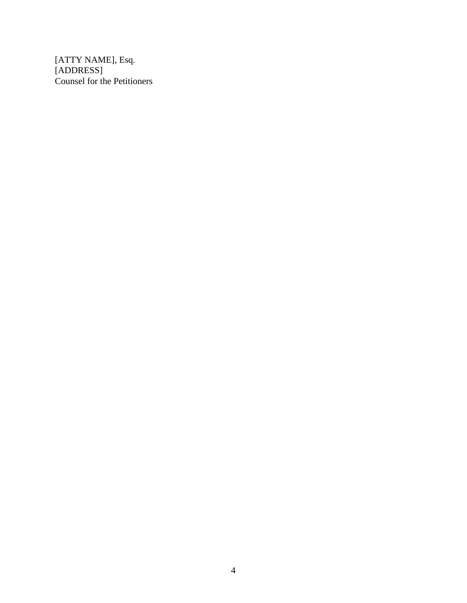[ATTY NAME], Esq. [ADDRESS] Counsel for the Petitioners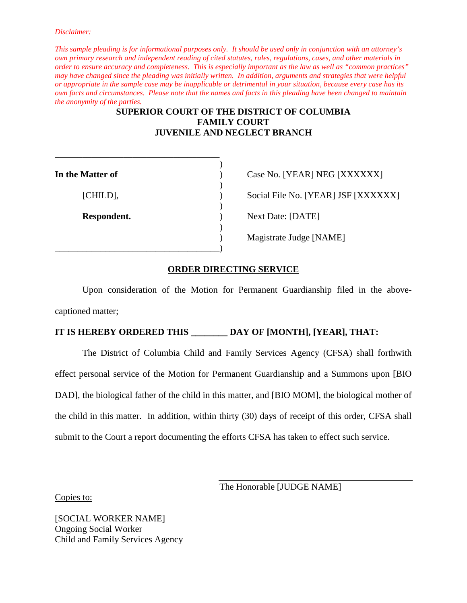*This sample pleading is for informational purposes only. It should be used only in conjunction with an attorney's own primary research and independent reading of cited statutes, rules, regulations, cases, and other materials in order to ensure accuracy and completeness. This is especially important as the law as well as "common practices" may have changed since the pleading was initially written. In addition, arguments and strategies that were helpful or appropriate in the sample case may be inapplicable or detrimental in your situation, because every case has its own facts and circumstances. Please note that the names and facts in this pleading have been changed to maintain the anonymity of the parties.*

### **SUPERIOR COURT OF THE DISTRICT OF COLUMBIA FAMILY COURT JUVENILE AND NEGLECT BRANCH**

)

| In the Matter of | Case No. [YEAR] NEG [XXXXXX]      |
|------------------|-----------------------------------|
|                  |                                   |
| [CHILD],         | Social File No. [YEAR] JSF [XXXX] |
| Respondent.      | <b>Next Date: [DATE]</b>          |
|                  | Magistrate Judge [NAME]           |
|                  |                                   |

**\_\_\_\_\_\_\_\_\_\_\_\_\_\_\_\_\_\_\_\_\_\_\_\_\_\_\_\_\_\_\_\_\_\_\_\_**

Social File No. [YEAR] JSF [XXXXXX] **Resp. 1** Next Date: [DATE] ) Magistrate Judge [NAME]

### **ORDER DIRECTING SERVICE**

Upon consideration of the Motion for Permanent Guardianship filed in the abovecaptioned matter;

### **IT IS HEREBY ORDERED THIS \_\_\_\_\_\_\_\_ DAY OF [MONTH], [YEAR], THAT:**

The District of Columbia Child and Family Services Agency (CFSA) shall forthwith effect personal service of the Motion for Permanent Guardianship and a Summons upon [BIO DAD], the biological father of the child in this matter, and [BIO MOM], the biological mother of the child in this matter. In addition, within thirty (30) days of receipt of this order, CFSA shall submit to the Court a report documenting the efforts CFSA has taken to effect such service.

The Honorable [JUDGE NAME]

Copies to:

[SOCIAL WORKER NAME] Ongoing Social Worker Child and Family Services Agency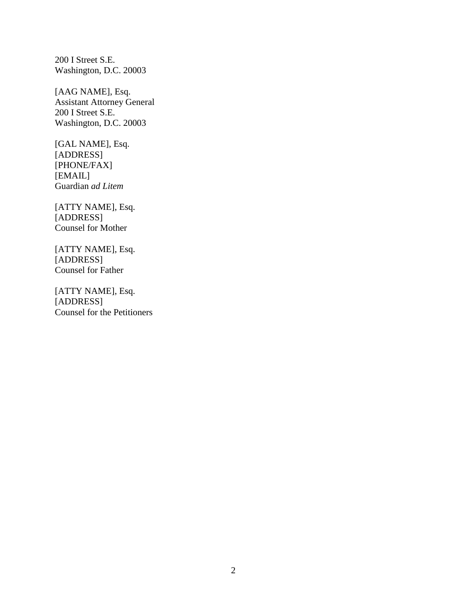200 I Street S.E. Washington, D.C. 20003

[AAG NAME], Esq. Assistant Attorney General 200 I Street S.E. Washington, D.C. 20003

[GAL NAME], Esq. [ADDRESS] [PHONE/FAX] [EMAIL] Guardian *ad Litem*

[ATTY NAME], Esq. [ADDRESS] Counsel for Mother

[ATTY NAME], Esq. [ADDRESS] Counsel for Father

[ATTY NAME], Esq. [ADDRESS] Counsel for the Petitioners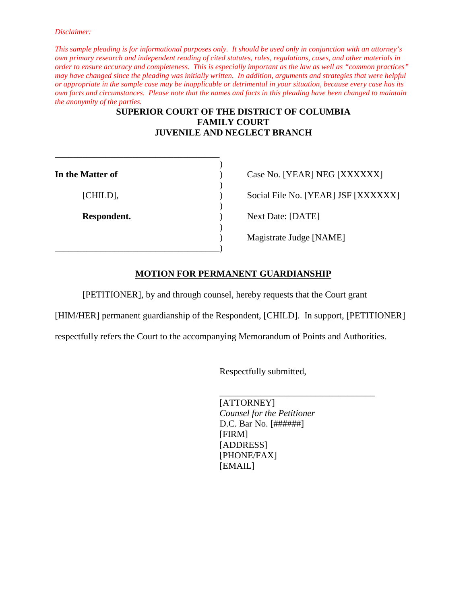*This sample pleading is for informational purposes only. It should be used only in conjunction with an attorney's own primary research and independent reading of cited statutes, rules, regulations, cases, and other materials in order to ensure accuracy and completeness. This is especially important as the law as well as "common practices" may have changed since the pleading was initially written. In addition, arguments and strategies that were helpful or appropriate in the sample case may be inapplicable or detrimental in your situation, because every case has its own facts and circumstances. Please note that the names and facts in this pleading have been changed to maintain the anonymity of the parties.*

### **SUPERIOR COURT OF THE DISTRICT OF COLUMBIA FAMILY COURT JUVENILE AND NEGLECT BRANCH**

| In the Matter of | Case No. [YEAR] NEG [XXXXXX]      |
|------------------|-----------------------------------|
| [CHILD],         | Social File No. [YEAR] JSF [XXXX] |
| Respondent.      | Next Date: [DATE]                 |
|                  | Magistrate Judge [NAME]           |

**\_\_\_\_\_\_\_\_\_\_\_\_\_\_\_\_\_\_\_\_\_\_\_\_\_\_\_\_\_\_\_\_\_\_\_\_**

Social File No. [YEAR] JSF [XXXXXX]

### **MOTION FOR PERMANENT GUARDIANSHIP**

[PETITIONER], by and through counsel, hereby requests that the Court grant

[HIM/HER] permanent guardianship of the Respondent, [CHILD]. In support, [PETITIONER]

respectfully refers the Court to the accompanying Memorandum of Points and Authorities.

Respectfully submitted,

\_\_\_\_\_\_\_\_\_\_\_\_\_\_\_\_\_\_\_\_\_\_\_\_\_\_\_\_\_\_\_\_\_\_ [ATTORNEY] *Counsel for the Petitioner* D.C. Bar No. [######] [FIRM] [ADDRESS] [PHONE/FAX] [EMAIL]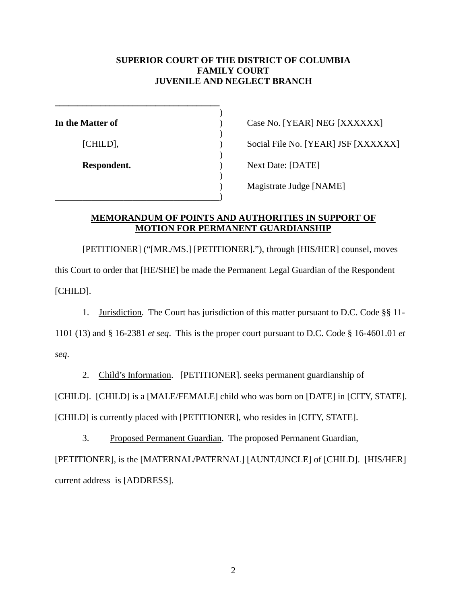### **SUPERIOR COURT OF THE DISTRICT OF COLUMBIA FAMILY COURT JUVENILE AND NEGLECT BRANCH**

| In the Matter of | Case No. [YEAR] NEG [XXXXXX]      |
|------------------|-----------------------------------|
|                  |                                   |
| [CHILD],         | Social File No. [YEAR] JSF [XXXX] |
|                  |                                   |
| Respondent.      | Next Date: [DATE]                 |
|                  |                                   |
|                  | Magistrate Judge [NAME]           |
|                  |                                   |

Social File No. [YEAR] JSF [XXXXXX] **Next Date: [DATE]** ) Magistrate Judge [NAME]

### **MEMORANDUM OF POINTS AND AUTHORITIES IN SUPPORT OF MOTION FOR PERMANENT GUARDIANSHIP**

[PETITIONER] ("[MR./MS.] [PETITIONER]."), through [HIS/HER] counsel, moves this Court to order that [HE/SHE] be made the Permanent Legal Guardian of the Respondent [CHILD].

1. Jurisdiction. The Court has jurisdiction of this matter pursuant to D.C. Code §§ 11-

1101 (13) and § 16-2381 *et seq*. This is the proper court pursuant to D.C. Code § 16-4601.01 *et seq*.

2. Child's Information. [PETITIONER]. seeks permanent guardianship of

[CHILD]. [CHILD] is a [MALE/FEMALE] child who was born on [DATE] in [CITY, STATE].

[CHILD] is currently placed with [PETITIONER], who resides in [CITY, STATE].

3. Proposed Permanent Guardian. The proposed Permanent Guardian,

[PETITIONER], is the [MATERNAL/PATERNAL] [AUNT/UNCLE] of [CHILD]. [HIS/HER] current address is [ADDRESS].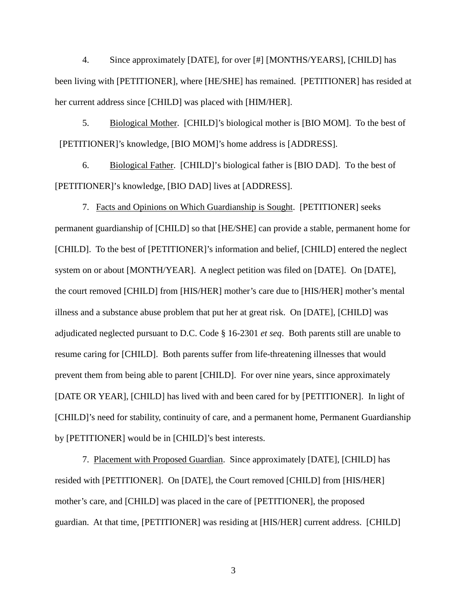4. Since approximately [DATE], for over [#] [MONTHS/YEARS], [CHILD] has been living with [PETITIONER], where [HE/SHE] has remained. [PETITIONER] has resided at her current address since [CHILD] was placed with [HIM/HER].

5. Biological Mother. [CHILD]'s biological mother is [BIO MOM]. To the best of [PETITIONER]'s knowledge, [BIO MOM]'s home address is [ADDRESS].

6. Biological Father. [CHILD]'s biological father is [BIO DAD]. To the best of [PETITIONER]'s knowledge, [BIO DAD] lives at [ADDRESS].

7. Facts and Opinions on Which Guardianship is Sought. [PETITIONER] seeks permanent guardianship of [CHILD] so that [HE/SHE] can provide a stable, permanent home for [CHILD]. To the best of [PETITIONER]'s information and belief, [CHILD] entered the neglect system on or about [MONTH/YEAR]. A neglect petition was filed on [DATE]. On [DATE], the court removed [CHILD] from [HIS/HER] mother's care due to [HIS/HER] mother's mental illness and a substance abuse problem that put her at great risk. On [DATE], [CHILD] was adjudicated neglected pursuant to D.C. Code § 16-2301 *et seq*. Both parents still are unable to resume caring for [CHILD]. Both parents suffer from life-threatening illnesses that would prevent them from being able to parent [CHILD]. For over nine years, since approximately [DATE OR YEAR], [CHILD] has lived with and been cared for by [PETITIONER]. In light of [CHILD]'s need for stability, continuity of care, and a permanent home, Permanent Guardianship by [PETITIONER] would be in [CHILD]'s best interests.

7. Placement with Proposed Guardian. Since approximately [DATE], [CHILD] has resided with [PETITIONER]. On [DATE], the Court removed [CHILD] from [HIS/HER] mother's care, and [CHILD] was placed in the care of [PETITIONER], the proposed guardian. At that time, [PETITIONER] was residing at [HIS/HER] current address. [CHILD]

3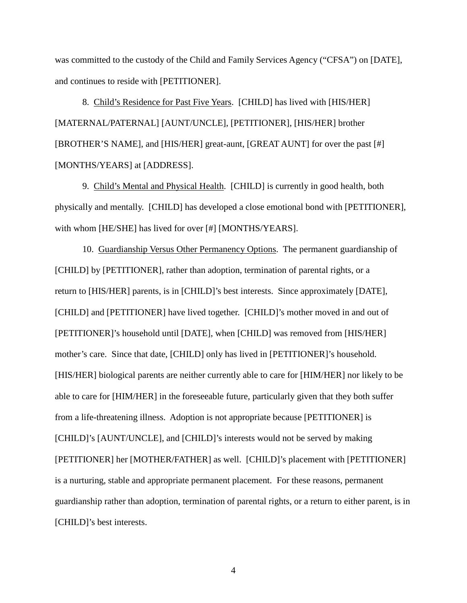was committed to the custody of the Child and Family Services Agency ("CFSA") on [DATE], and continues to reside with [PETITIONER].

8. Child's Residence for Past Five Years. [CHILD] has lived with [HIS/HER] [MATERNAL/PATERNAL] [AUNT/UNCLE], [PETITIONER], [HIS/HER] brother [BROTHER'S NAME], and [HIS/HER] great-aunt, [GREAT AUNT] for over the past [#] [MONTHS/YEARS] at [ADDRESS].

9. Child's Mental and Physical Health. [CHILD] is currently in good health, both physically and mentally. [CHILD] has developed a close emotional bond with [PETITIONER], with whom [HE/SHE] has lived for over [#] [MONTHS/YEARS].

10. Guardianship Versus Other Permanency Options. The permanent guardianship of [CHILD] by [PETITIONER], rather than adoption, termination of parental rights, or a return to [HIS/HER] parents, is in [CHILD]'s best interests. Since approximately [DATE], [CHILD] and [PETITIONER] have lived together. [CHILD]'s mother moved in and out of [PETITIONER]'s household until [DATE], when [CHILD] was removed from [HIS/HER] mother's care. Since that date, [CHILD] only has lived in [PETITIONER]'s household. [HIS/HER] biological parents are neither currently able to care for [HIM/HER] nor likely to be able to care for [HIM/HER] in the foreseeable future, particularly given that they both suffer from a life-threatening illness. Adoption is not appropriate because [PETITIONER] is [CHILD]'s [AUNT/UNCLE], and [CHILD]'s interests would not be served by making [PETITIONER] her [MOTHER/FATHER] as well. [CHILD]'s placement with [PETITIONER] is a nurturing, stable and appropriate permanent placement. For these reasons, permanent guardianship rather than adoption, termination of parental rights, or a return to either parent, is in [CHILD]'s best interests.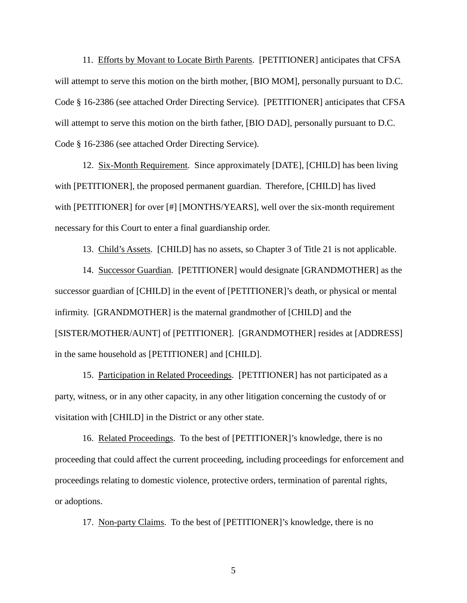11. Efforts by Movant to Locate Birth Parents. [PETITIONER] anticipates that CFSA will attempt to serve this motion on the birth mother, [BIO MOM], personally pursuant to D.C. Code § 16-2386 (see attached Order Directing Service). [PETITIONER] anticipates that CFSA will attempt to serve this motion on the birth father, [BIO DAD], personally pursuant to D.C. Code § 16-2386 (see attached Order Directing Service).

12. Six-Month Requirement. Since approximately [DATE], [CHILD] has been living with [PETITIONER], the proposed permanent guardian. Therefore, [CHILD] has lived with [PETITIONER] for over [#] [MONTHS/YEARS], well over the six-month requirement necessary for this Court to enter a final guardianship order.

13. Child's Assets. [CHILD] has no assets, so Chapter 3 of Title 21 is not applicable.

14. Successor Guardian. [PETITIONER] would designate [GRANDMOTHER] as the successor guardian of [CHILD] in the event of [PETITIONER]'s death, or physical or mental infirmity. [GRANDMOTHER] is the maternal grandmother of [CHILD] and the [SISTER/MOTHER/AUNT] of [PETITIONER]. [GRANDMOTHER] resides at [ADDRESS] in the same household as [PETITIONER] and [CHILD].

15. Participation in Related Proceedings. [PETITIONER] has not participated as a party, witness, or in any other capacity, in any other litigation concerning the custody of or visitation with [CHILD] in the District or any other state.

16. Related Proceedings. To the best of [PETITIONER]'s knowledge, there is no proceeding that could affect the current proceeding, including proceedings for enforcement and proceedings relating to domestic violence, protective orders, termination of parental rights, or adoptions.

17. Non-party Claims. To the best of [PETITIONER]'s knowledge, there is no

5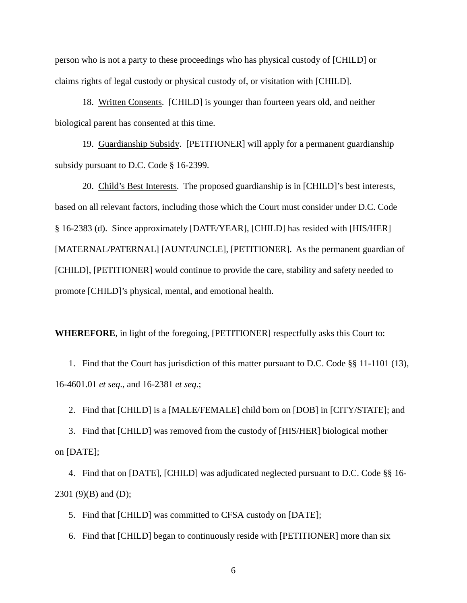person who is not a party to these proceedings who has physical custody of [CHILD] or claims rights of legal custody or physical custody of, or visitation with [CHILD].

18. Written Consents. [CHILD] is younger than fourteen years old, and neither biological parent has consented at this time.

19. Guardianship Subsidy. [PETITIONER] will apply for a permanent guardianship subsidy pursuant to D.C. Code § 16-2399.

20. Child's Best Interests. The proposed guardianship is in [CHILD]'s best interests, based on all relevant factors, including those which the Court must consider under D.C. Code § 16-2383 (d). Since approximately [DATE/YEAR], [CHILD] has resided with [HIS/HER] [MATERNAL/PATERNAL] [AUNT/UNCLE], [PETITIONER]. As the permanent guardian of [CHILD], [PETITIONER] would continue to provide the care, stability and safety needed to promote [CHILD]'s physical, mental, and emotional health.

**WHEREFORE**, in light of the foregoing, [PETITIONER] respectfully asks this Court to:

1. Find that the Court has jurisdiction of this matter pursuant to D.C. Code §§ 11-1101 (13), 16-4601.01 *et seq*., and 16-2381 *et seq*.;

2. Find that [CHILD] is a [MALE/FEMALE] child born on [DOB] in [CITY/STATE]; and

3. Find that [CHILD] was removed from the custody of [HIS/HER] biological mother on [DATE];

4. Find that on [DATE], [CHILD] was adjudicated neglected pursuant to D.C. Code §§ 16-  $2301 (9)(B)$  and (D);

5. Find that [CHILD] was committed to CFSA custody on [DATE];

6. Find that [CHILD] began to continuously reside with [PETITIONER] more than six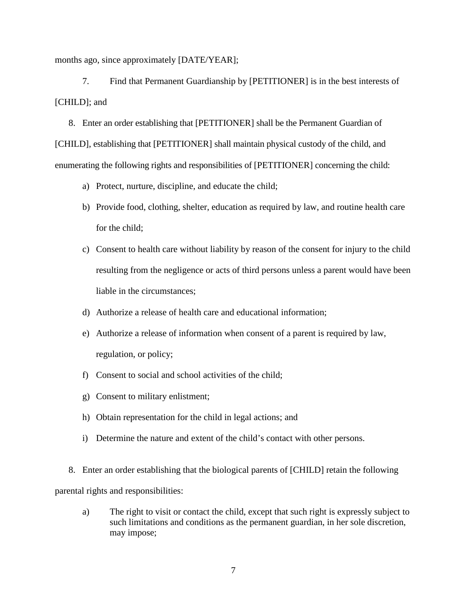months ago, since approximately [DATE/YEAR];

7. Find that Permanent Guardianship by [PETITIONER] is in the best interests of [CHILD]; and

8. Enter an order establishing that [PETITIONER] shall be the Permanent Guardian of [CHILD], establishing that [PETITIONER] shall maintain physical custody of the child, and enumerating the following rights and responsibilities of [PETITIONER] concerning the child:

- a) Protect, nurture, discipline, and educate the child;
- b) Provide food, clothing, shelter, education as required by law, and routine health care for the child;
- c) Consent to health care without liability by reason of the consent for injury to the child resulting from the negligence or acts of third persons unless a parent would have been liable in the circumstances;
- d) Authorize a release of health care and educational information;
- e) Authorize a release of information when consent of a parent is required by law, regulation, or policy;
- f) Consent to social and school activities of the child;
- g) Consent to military enlistment;
- h) Obtain representation for the child in legal actions; and
- i) Determine the nature and extent of the child's contact with other persons.

 8. Enter an order establishing that the biological parents of [CHILD] retain the following parental rights and responsibilities:

a) The right to visit or contact the child, except that such right is expressly subject to such limitations and conditions as the permanent guardian, in her sole discretion, may impose;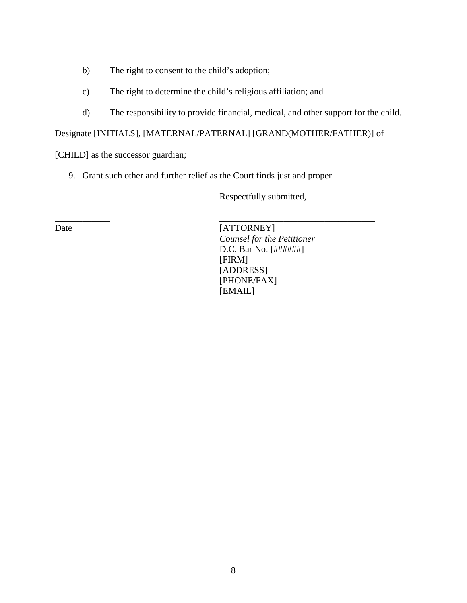- b) The right to consent to the child's adoption;
- c) The right to determine the child's religious affiliation; and
- d) The responsibility to provide financial, medical, and other support for the child.

Designate [INITIALS], [MATERNAL/PATERNAL] [GRAND(MOTHER/FATHER)] of

[CHILD] as the successor guardian;

9. Grant such other and further relief as the Court finds just and proper.

\_\_\_\_\_\_\_\_\_\_\_\_ \_\_\_\_\_\_\_\_\_\_\_\_\_\_\_\_\_\_\_\_\_\_\_\_\_\_\_\_\_\_\_\_\_\_

Respectfully submitted,

Date [ATTORNEY] *Counsel for the Petitioner* D.C. Bar No. [######] [FIRM] [ADDRESS] [PHONE/FAX] [EMAIL]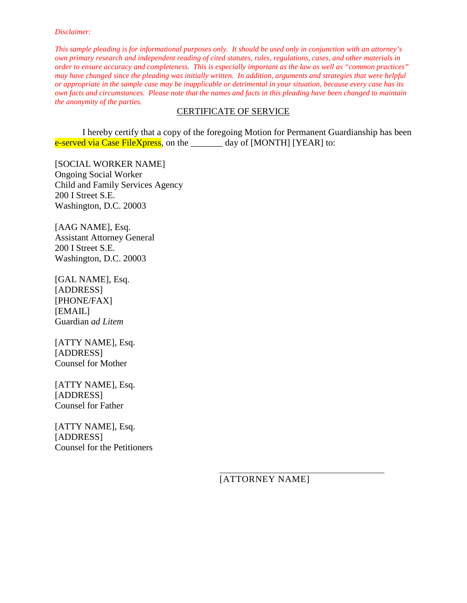*This sample pleading is for informational purposes only. It should be used only in conjunction with an attorney's own primary research and independent reading of cited statutes, rules, regulations, cases, and other materials in order to ensure accuracy and completeness. This is especially important as the law as well as "common practices" may have changed since the pleading was initially written. In addition, arguments and strategies that were helpful or appropriate in the sample case may be inapplicable or detrimental in your situation, because every case has its own facts and circumstances. Please note that the names and facts in this pleading have been changed to maintain the anonymity of the parties.*

### CERTIFICATE OF SERVICE

I hereby certify that a copy of the foregoing Motion for Permanent Guardianship has been e-served via Case FileXpress, on the day of [MONTH] [YEAR] to:

[SOCIAL WORKER NAME] Ongoing Social Worker Child and Family Services Agency 200 I Street S.E. Washington, D.C. 20003

[AAG NAME], Esq. Assistant Attorney General 200 I Street S.E. Washington, D.C. 20003

[GAL NAME], Esq. [ADDRESS] [PHONE/FAX] **[EMAIL]** Guardian *ad Litem*

[ATTY NAME], Esq. [ADDRESS] Counsel for Mother

[ATTY NAME], Esq. [ADDRESS] Counsel for Father

[ATTY NAME], Esq. [ADDRESS] Counsel for the Petitioners

[ATTORNEY NAME]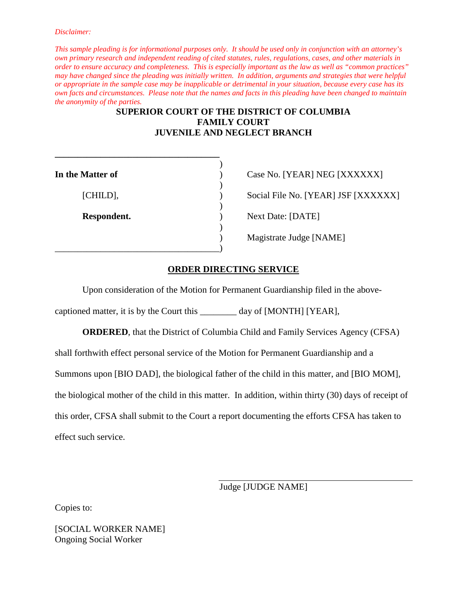*This sample pleading is for informational purposes only. It should be used only in conjunction with an attorney's own primary research and independent reading of cited statutes, rules, regulations, cases, and other materials in order to ensure accuracy and completeness. This is especially important as the law as well as "common practices" may have changed since the pleading was initially written. In addition, arguments and strategies that were helpful or appropriate in the sample case may be inapplicable or detrimental in your situation, because every case has its own facts and circumstances. Please note that the names and facts in this pleading have been changed to maintain the anonymity of the parties.*

### **SUPERIOR COURT OF THE DISTRICT OF COLUMBIA FAMILY COURT JUVENILE AND NEGLECT BRANCH**

)

| In the Matter of | Case No. [YEAR] NEG [XXXXXX]      |
|------------------|-----------------------------------|
| [CHILD],         | Social File No. [YEAR] JSF [XXXX] |
| Respondent.      | <b>Next Date: [DATE]</b>          |
|                  | Magistrate Judge [NAME]           |

**\_\_\_\_\_\_\_\_\_\_\_\_\_\_\_\_\_\_\_\_\_\_\_\_\_\_\_\_\_\_\_\_\_\_\_\_**

Social File No. [YEAR] JSF [XXXXXX] **Respondent Date: [DATE]** ) Magistrate Judge [NAME]

### **ORDER DIRECTING SERVICE**

Upon consideration of the Motion for Permanent Guardianship filed in the above-

captioned matter, it is by the Court this day of [MONTH] [YEAR],

**ORDERED**, that the District of Columbia Child and Family Services Agency (CFSA) shall forthwith effect personal service of the Motion for Permanent Guardianship and a Summons upon [BIO DAD], the biological father of the child in this matter, and [BIO MOM], the biological mother of the child in this matter. In addition, within thirty (30) days of receipt of this order, CFSA shall submit to the Court a report documenting the efforts CFSA has taken to effect such service.

Judge [JUDGE NAME]

Copies to:

[SOCIAL WORKER NAME] Ongoing Social Worker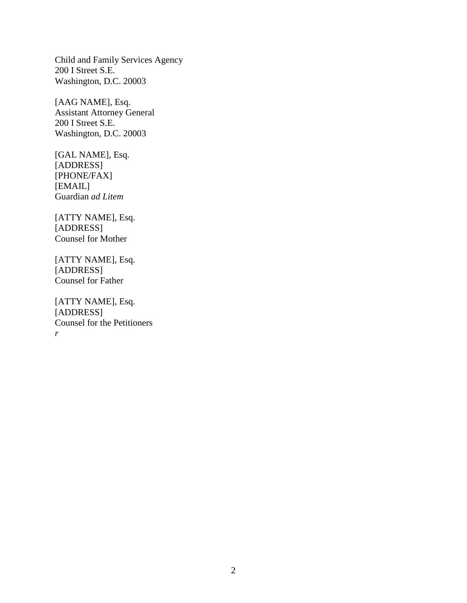Child and Family Services Agency 200 I Street S.E. Washington, D.C. 20003

[AAG NAME], Esq. Assistant Attorney General 200 I Street S.E. Washington, D.C. 20003

[GAL NAME], Esq. [ADDRESS] [PHONE/FAX] [EMAIL] Guardian *ad Litem*

[ATTY NAME], Esq. [ADDRESS] Counsel for Mother

[ATTY NAME], Esq. [ADDRESS] Counsel for Father

[ATTY NAME], Esq. [ADDRESS] Counsel for the Petitioners *r*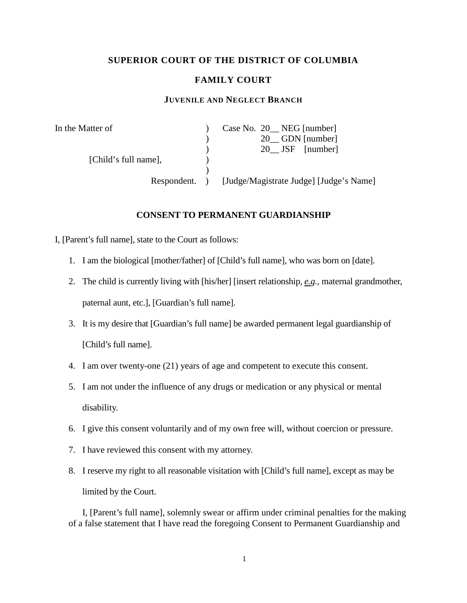### **SUPERIOR COURT OF THE DISTRICT OF COLUMBIA**

### **FAMILY COURT**

### **JUVENILE AND NEGLECT BRANCH**

| In the Matter of     | Case No. 20 NEG [number]                |
|----------------------|-----------------------------------------|
|                      | 20 GDN [number]                         |
|                      | 20 JSF [number]                         |
| [Child's full name], |                                         |
|                      |                                         |
| Respondent.          | [Judge/Magistrate Judge] [Judge's Name] |

### **CONSENT TO PERMANENT GUARDIANSHIP**

I, [Parent's full name], state to the Court as follows:

- 1. I am the biological [mother/father] of [Child's full name], who was born on [date].
- 2. The child is currently living with [his/her] [insert relationship, *e.g.,* maternal grandmother, paternal aunt, etc.], [Guardian's full name].
- 3. It is my desire that [Guardian's full name] be awarded permanent legal guardianship of [Child's full name].
- 4. I am over twenty-one (21) years of age and competent to execute this consent.
- 5. I am not under the influence of any drugs or medication or any physical or mental disability.
- 6. I give this consent voluntarily and of my own free will, without coercion or pressure.
- 7. I have reviewed this consent with my attorney.
- 8. I reserve my right to all reasonable visitation with [Child's full name], except as may be limited by the Court.

I, [Parent's full name], solemnly swear or affirm under criminal penalties for the making of a false statement that I have read the foregoing Consent to Permanent Guardianship and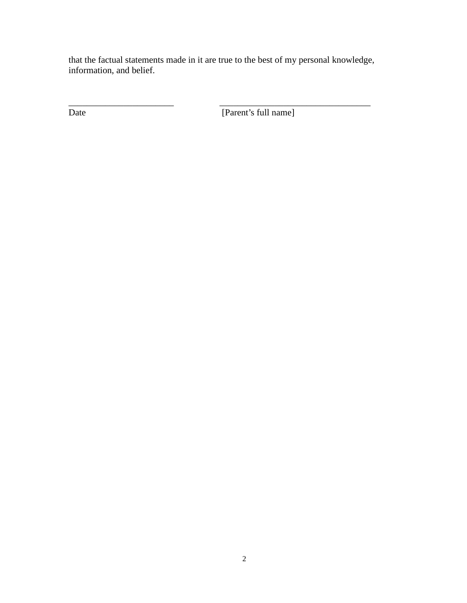that the factual statements made in it are true to the best of my personal knowledge, information, and belief.

\_\_\_\_\_\_\_\_\_\_\_\_\_\_\_\_\_\_\_\_\_\_\_ \_\_\_\_\_\_\_\_\_\_\_\_\_\_\_\_\_\_\_\_\_\_\_\_\_\_\_\_\_\_\_\_\_ Date [Parent's full name]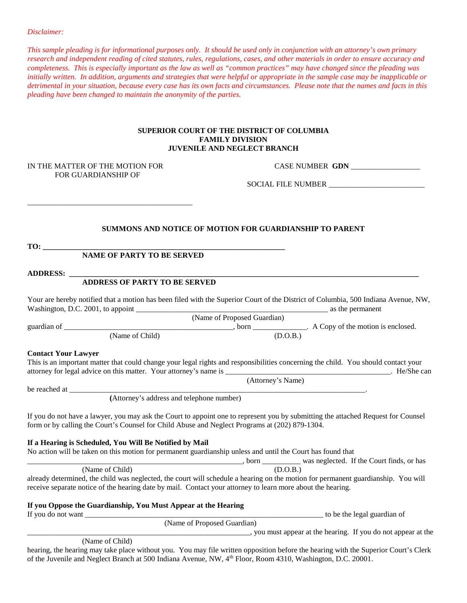*This sample pleading is for informational purposes only. It should be used only in conjunction with an attorney's own primary research and independent reading of cited statutes, rules, regulations, cases, and other materials in order to ensure accuracy and completeness. This is especially important as the law as well as "common practices" may have changed since the pleading was initially written. In addition, arguments and strategies that were helpful or appropriate in the sample case may be inapplicable or detrimental in your situation, because every case has its own facts and circumstances. Please note that the names and facts in this pleading have been changed to maintain the anonymity of the parties.*

#### **SUPERIOR COURT OF THE DISTRICT OF COLUMBIA FAMILY DIVISION JUVENILE AND NEGLECT BRANCH**

# FOR GUARDIANSHIP OF

\_\_\_\_\_\_\_\_\_\_\_\_\_\_\_\_\_\_\_\_\_\_\_\_\_\_\_\_\_\_\_\_\_\_\_\_\_\_\_\_\_\_\_

IN THE MATTER OF THE MOTION FOR **CASE NUMBER GDN** 

SOCIAL FILE NUMBER \_\_\_\_\_\_\_\_\_\_\_\_\_\_\_\_\_\_\_\_\_\_\_\_\_

#### **SUMMONS AND NOTICE OF MOTION FOR GUARDIANSHIP TO PARENT**

| mс<br>. . | __ |  |
|-----------|----|--|
|           |    |  |

#### **NAME OF PARTY TO BE SERVED**

#### $ADDRESS:$

#### **ADDRESS OF PARTY TO BE SERVED**

Your are hereby notified that a motion has been filed with the Superior Court of the District of Columbia, 500 Indiana Avenue, NW, Washington, D.C. 2001, to appoint \_\_\_\_\_\_\_\_\_\_\_\_\_\_\_\_\_\_\_\_\_\_\_\_\_\_\_\_\_\_\_\_\_\_\_\_\_\_\_\_\_\_\_\_\_\_\_\_\_\_ as the permanent

(Name of Proposed Guardian) guardian of \_\_\_\_\_\_\_\_\_\_\_\_\_\_\_\_\_\_\_\_\_\_\_\_\_\_\_\_\_\_\_\_\_\_\_\_\_\_\_\_\_\_\_\_, born \_\_\_\_\_\_\_\_\_\_\_\_\_\_. A Copy of the motion is enclosed. (Name of Child) (D.O.B.)

#### **Contact Your Lawyer**

This is an important matter that could change your legal rights and responsibilities concerning the child. You should contact your attorney for legal advice on this matter. Your attorney's name is \_\_\_\_\_\_\_\_\_\_\_\_\_\_\_\_\_\_\_\_\_\_\_\_\_\_\_\_\_\_\_\_\_\_\_\_\_\_\_\_\_\_\_. He/She can

(Attorney's Name)

be reached at

**(**Attorney's address and telephone number)

If you do not have a lawyer, you may ask the Court to appoint one to represent you by submitting the attached Request for Counsel form or by calling the Court's Counsel for Child Abuse and Neglect Programs at (202) 879-1304.

#### **If a Hearing is Scheduled, You Will Be Notified by Mail**

No action will be taken on this motion for permanent guardianship unless and until the Court has found that

\_\_\_\_\_\_\_\_\_\_\_\_\_\_\_\_\_\_\_\_\_\_\_\_\_\_\_\_\_\_\_\_\_\_\_\_\_\_\_\_\_\_\_\_\_\_\_\_\_\_\_\_\_\_\_\_, born \_\_\_\_\_\_\_\_\_\_ was neglected. If the Court finds, or has (Name of Child) (D.O.B.)

already determined, the child was neglected, the court will schedule a hearing on the motion for permanent guardianship. You will receive separate notice of the hearing date by mail. Contact your attorney to learn more about the hearing.

#### **If you Oppose the Guardianship, You Must Appear at the Hearing**

If you do not want  $\frac{1}{\sqrt{2}}$  to be the legal guardian of

(Name of Proposed Guardian)

\_\_\_\_\_\_\_\_\_\_\_\_\_\_\_\_\_\_\_\_\_\_\_\_\_\_\_\_\_\_\_\_\_\_\_\_\_\_\_\_\_\_\_\_\_\_\_\_\_\_\_\_\_\_\_\_\_\_, you must appear at the hearing. If you do not appear at the

(Name of Child)

hearing, the hearing may take place without you. You may file written opposition before the hearing with the Superior Court's Clerk of the Juvenile and Neglect Branch at 500 Indiana Avenue, NW, 4th Floor, Room 4310, Washington, D.C. 20001.